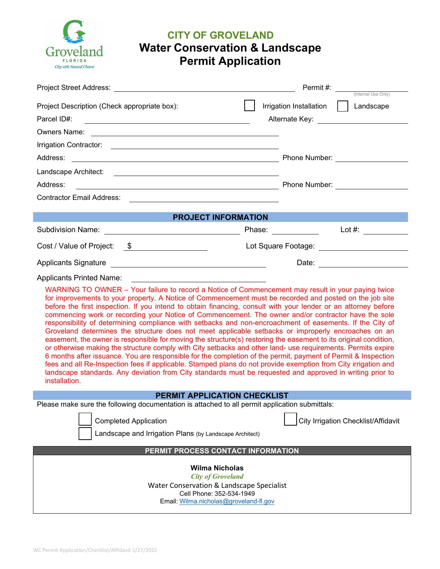

# **CITY OF GROVELAND Water Conservation & Landscape Permit Application**

| Project Street Address: Weblate Street Address and the Contract of the Contract of the Contract of the Contract of the Contract of the Contract of the Contract of the Contract of the Contract of the Contract of the Contrac                                                                                                                                                                                                                                                                                                                                                                                                                                                                                                                                                                                                                                                                                                                                                                                                                                                                                                                                                                                                                                                                                                                                  | Permit #:<br>(Internal Use Only)                                                     |
|-----------------------------------------------------------------------------------------------------------------------------------------------------------------------------------------------------------------------------------------------------------------------------------------------------------------------------------------------------------------------------------------------------------------------------------------------------------------------------------------------------------------------------------------------------------------------------------------------------------------------------------------------------------------------------------------------------------------------------------------------------------------------------------------------------------------------------------------------------------------------------------------------------------------------------------------------------------------------------------------------------------------------------------------------------------------------------------------------------------------------------------------------------------------------------------------------------------------------------------------------------------------------------------------------------------------------------------------------------------------|--------------------------------------------------------------------------------------|
| Project Description (Check appropriate box):<br>Parcel ID#:<br><u> 1989 - Johann Stoff, deutscher Stoffen und der Stoffen und der Stoffen und der Stoffen und der Stoffen und der</u><br>Owners Name: Lawrence and Communication of the Communication of the Communication of the Communication of the Communication of the Communication of the Communication of the Communication of the Communication of the Communi                                                                                                                                                                                                                                                                                                                                                                                                                                                                                                                                                                                                                                                                                                                                                                                                                                                                                                                                         | Irrigation Installation<br>Landscape<br>Alternate Key: <u>______________________</u> |
|                                                                                                                                                                                                                                                                                                                                                                                                                                                                                                                                                                                                                                                                                                                                                                                                                                                                                                                                                                                                                                                                                                                                                                                                                                                                                                                                                                 |                                                                                      |
| Address:                                                                                                                                                                                                                                                                                                                                                                                                                                                                                                                                                                                                                                                                                                                                                                                                                                                                                                                                                                                                                                                                                                                                                                                                                                                                                                                                                        |                                                                                      |
|                                                                                                                                                                                                                                                                                                                                                                                                                                                                                                                                                                                                                                                                                                                                                                                                                                                                                                                                                                                                                                                                                                                                                                                                                                                                                                                                                                 |                                                                                      |
| Address:                                                                                                                                                                                                                                                                                                                                                                                                                                                                                                                                                                                                                                                                                                                                                                                                                                                                                                                                                                                                                                                                                                                                                                                                                                                                                                                                                        |                                                                                      |
| Contractor Email Address:<br><u> Alexandria de la contrada de la contrada de la contrada de la contrada de la contrada de la contrada de la c</u>                                                                                                                                                                                                                                                                                                                                                                                                                                                                                                                                                                                                                                                                                                                                                                                                                                                                                                                                                                                                                                                                                                                                                                                                               |                                                                                      |
| <b>PROJECT INFORMATION</b>                                                                                                                                                                                                                                                                                                                                                                                                                                                                                                                                                                                                                                                                                                                                                                                                                                                                                                                                                                                                                                                                                                                                                                                                                                                                                                                                      |                                                                                      |
|                                                                                                                                                                                                                                                                                                                                                                                                                                                                                                                                                                                                                                                                                                                                                                                                                                                                                                                                                                                                                                                                                                                                                                                                                                                                                                                                                                 | Lot #: $\qquad \qquad$                                                               |
| Cost / Value of Project: \$                                                                                                                                                                                                                                                                                                                                                                                                                                                                                                                                                                                                                                                                                                                                                                                                                                                                                                                                                                                                                                                                                                                                                                                                                                                                                                                                     | Lot Square Footage: <u>_______________________</u>                                   |
|                                                                                                                                                                                                                                                                                                                                                                                                                                                                                                                                                                                                                                                                                                                                                                                                                                                                                                                                                                                                                                                                                                                                                                                                                                                                                                                                                                 | Date: <u>________________</u>                                                        |
| <b>Applicants Printed Name:</b><br><u> 1989 - Johann Stein, mars and de Britain (b. 1989)</u><br>WARNING TO OWNER – Your failure to record a Notice of Commencement may result in your paying twice<br>for improvements to your property. A Notice of Commencement must be recorded and posted on the job site<br>before the first inspection. If you intend to obtain financing, consult with your lender or an attorney before<br>commencing work or recording your Notice of Commencement. The owner and/or contractor have the sole<br>responsibility of determining compliance with setbacks and non-encroachment of easements. If the City of<br>Groveland determines the structure does not meet applicable setbacks or improperly encroaches on an<br>easement, the owner is responsible for moving the structure(s) restoring the easement to its original condition,<br>or otherwise making the structure comply with City setbacks and other land- use requirements. Permits expire<br>6 months after issuance. You are responsible for the completion of the permit, payment of Permit & Inspection<br>fees and all Re-Inspection fees if applicable. Stamped plans do not provide exemption from City irrigation and<br>landscape standards. Any deviation from City standards must be requested and approved in writing prior to<br>installation. |                                                                                      |
| <b>PERMIT APPLICATION CHECKLIST</b>                                                                                                                                                                                                                                                                                                                                                                                                                                                                                                                                                                                                                                                                                                                                                                                                                                                                                                                                                                                                                                                                                                                                                                                                                                                                                                                             |                                                                                      |
| Please make sure the following documentation is attached to all permit application submittals:<br><b>Completed Application</b><br>Landscape and Irrigation Plans (by Landscape Architect)                                                                                                                                                                                                                                                                                                                                                                                                                                                                                                                                                                                                                                                                                                                                                                                                                                                                                                                                                                                                                                                                                                                                                                       | <b>City Irrigation Checklist/Affidavit</b>                                           |
| PERMIT PROCESS CONTACT INFORMATION                                                                                                                                                                                                                                                                                                                                                                                                                                                                                                                                                                                                                                                                                                                                                                                                                                                                                                                                                                                                                                                                                                                                                                                                                                                                                                                              |                                                                                      |
| <b>Wilma Nicholas</b><br><b>City of Groveland</b><br>Water Conservation & Landscape Specialist<br>Cell Phone: 352-534-1949                                                                                                                                                                                                                                                                                                                                                                                                                                                                                                                                                                                                                                                                                                                                                                                                                                                                                                                                                                                                                                                                                                                                                                                                                                      |                                                                                      |

Email: [Wilma.nicholas@groveland-fl.gov](mailto:Wilma.nicholas@groveland-fl.gov)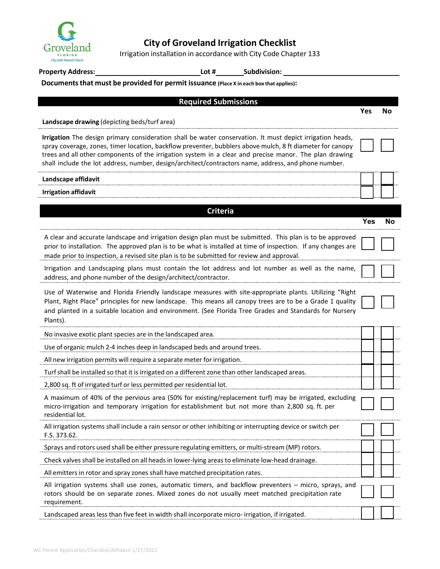

## **City of Groveland Irrigation Checklist**

Irrigation installation in accordance with City Code Chapter 133

**Property Address: Lot # Subdivision:**

#### **Documentsthat must be provided for permit issuance (Place X in each box that applies):**

| <b>Required Submissions</b>                                                                                                                                                                                                                                                                                                                                                                                                              |            |    |
|------------------------------------------------------------------------------------------------------------------------------------------------------------------------------------------------------------------------------------------------------------------------------------------------------------------------------------------------------------------------------------------------------------------------------------------|------------|----|
|                                                                                                                                                                                                                                                                                                                                                                                                                                          | <b>Yes</b> | No |
| Landscape drawing (depicting beds/turf area)                                                                                                                                                                                                                                                                                                                                                                                             |            |    |
| Irrigation The design primary consideration shall be water conservation. It must depict irrigation heads,<br>spray coverage, zones, timer location, backflow preventer, bubblers above mulch, 8 ft diameter for canopy<br>trees and all other components of the irrigation system in a clear and precise manor. The plan drawing<br>shall include the lot address, number, design/architect/contractors name, address, and phone number. |            |    |
| Landscape affidavit                                                                                                                                                                                                                                                                                                                                                                                                                      |            |    |
| <b>Irrigation affidavit</b>                                                                                                                                                                                                                                                                                                                                                                                                              |            |    |
|                                                                                                                                                                                                                                                                                                                                                                                                                                          |            |    |
| <b>Criteria</b>                                                                                                                                                                                                                                                                                                                                                                                                                          | <b>Yes</b> | No |
|                                                                                                                                                                                                                                                                                                                                                                                                                                          |            |    |
| A clear and accurate landscape and irrigation design plan must be submitted. This plan is to be approved<br>prior to installation. The approved plan is to be what is installed at time of inspection. If any changes are<br>made prior to inspection, a revised site plan is to be submitted for review and approval.                                                                                                                   |            |    |
| Irrigation and Landscaping plans must contain the lot address and lot number as well as the name,<br>address, and phone number of the design/architect/contractor.                                                                                                                                                                                                                                                                       |            |    |
| Use of Waterwise and Florida Friendly landscape measures with site-appropriate plants. Utilizing "Right<br>Plant, Right Place" principles for new landscape. This means all canopy trees are to be a Grade 1 quality<br>and planted in a suitable location and environment. (See Florida Tree Grades and Standards for Nursery<br>Plants).                                                                                               |            |    |
| No invasive exotic plant species are in the landscaped area.                                                                                                                                                                                                                                                                                                                                                                             |            |    |
| Use of organic mulch 2-4 inches deep in landscaped beds and around trees.                                                                                                                                                                                                                                                                                                                                                                |            |    |
| All new irrigation permits will require a separate meter for irrigation.                                                                                                                                                                                                                                                                                                                                                                 |            |    |
| Turf shall be installed so that it is irrigated on a different zone than other landscaped areas.                                                                                                                                                                                                                                                                                                                                         |            |    |
| 2,800 sq. ft of irrigated turf or less permitted per residential lot.                                                                                                                                                                                                                                                                                                                                                                    |            |    |
| A maximum of 40% of the pervious area (50% for existing/replacement turf) may be irrigated, excluding<br>micro-irrigation and temporary irrigation for establishment but not more than 2,800 sq. ft. per<br>residential lot.                                                                                                                                                                                                             |            |    |
| All irrigation systems shall include a rain sensor or other inhibiting or interrupting device or switch per<br>F.S. 373.62.                                                                                                                                                                                                                                                                                                              |            |    |
| Sprays and rotors used shall be either pressure regulating emitters, or multi-stream (MP) rotors.                                                                                                                                                                                                                                                                                                                                        |            |    |
| Check valves shall be installed on all heads in lower-lying areas to eliminate low-head drainage.                                                                                                                                                                                                                                                                                                                                        |            |    |
| All emitters in rotor and spray zones shall have matched precipitation rates.                                                                                                                                                                                                                                                                                                                                                            |            |    |
| All irrigation systems shall use zones, automatic timers, and backflow preventers - micro, sprays, and<br>rotors should be on separate zones. Mixed zones do not usually meet matched precipitation rate<br>requirement.                                                                                                                                                                                                                 |            |    |
| Landscaped areas less than five feet in width shall incorporate micro-irrigation, if irrigated.                                                                                                                                                                                                                                                                                                                                          |            |    |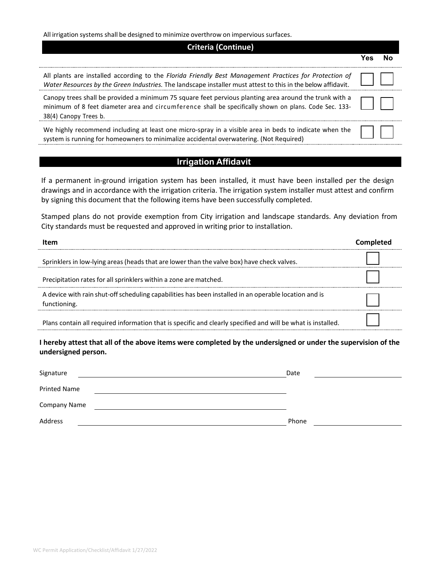All irrigation systems shall be designed to minimize overthrow on impervious surfaces.

| <b>Criteria (Continue)</b>                                                                                                                                                                                                                |  |  |  |
|-------------------------------------------------------------------------------------------------------------------------------------------------------------------------------------------------------------------------------------------|--|--|--|
|                                                                                                                                                                                                                                           |  |  |  |
| All plants are installed according to the Florida Friendly Best Management Practices for Protection of<br>Water Resources by the Green Industries. The landscape installer must attest to this in the below affidavit.                    |  |  |  |
| Canopy trees shall be provided a minimum 75 square feet pervious planting area around the trunk with a<br>minimum of 8 feet diameter area and circumference shall be specifically shown on plans. Code Sec. 133-<br>38(4) Canopy Trees b. |  |  |  |
| We highly recommend including at least one micro-spray in a visible area in beds to indicate when the<br>system is running for homeowners to minimalize accidental overwatering. (Not Required)                                           |  |  |  |

#### **Irrigation Affidavit**

If a permanent in-ground irrigation system has been installed, it must have been installed per the design drawings and in accordance with the irrigation criteria. The irrigation system installer must attest and confirm by signing this document that the following items have been successfully completed.

Stamped plans do not provide exemption from City irrigation and landscape standards. Any deviation from City standards must be requested and approved in writing prior to installation.

| Item                                                                                                                  |  |
|-----------------------------------------------------------------------------------------------------------------------|--|
| Sprinklers in low-lying areas (heads that are lower than the valve box) have check valves.                            |  |
| Precipitation rates for all sprinklers within a zone are matched.                                                     |  |
| A device with rain shut-off scheduling capabilities has been installed in an operable location and is<br>functioning. |  |
| Plans contain all required information that is specific and clearly specified and will be what is installed.          |  |

**I hereby attest that all of the above items were completed by the undersigned or under the supervision of the undersigned person.**

| Signature    | Date  |  |
|--------------|-------|--|
| Printed Name |       |  |
| Company Name |       |  |
| Address      | Phone |  |